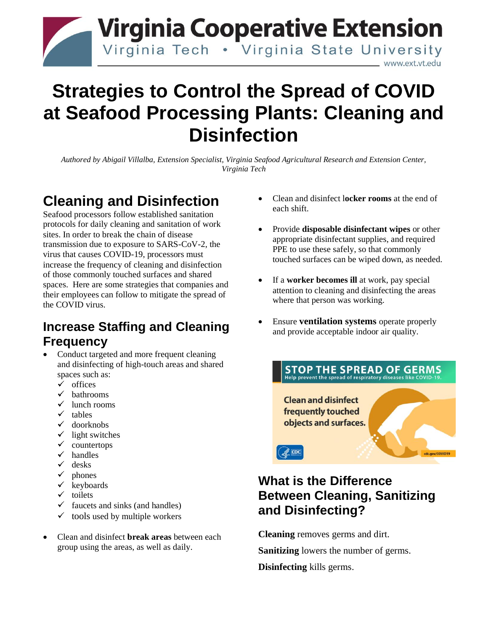

# **Strategies to Control the Spread of COVID at Seafood Processing Plants: Cleaning and Disinfection**

*Authored by Abigail Villalba, Extension Specialist, Virginia Seafood Agricultural Research and Extension Center, Virginia Tech*

## **Cleaning and Disinfection**

Seafood processors follow established sanitation protocols for daily cleaning and sanitation of work sites. In order to break the chain of disease transmission due to exposure to SARS-CoV-2, the virus that causes COVID-19, processors must increase the frequency of cleaning and disinfection of those commonly touched surfaces and shared spaces. Here are some strategies that companies and their employees can follow to mitigate the spread of the COVID virus.

#### **Increase Staffing and Cleaning Frequency**

- Conduct targeted and more frequent cleaning and disinfecting of high-touch areas and shared spaces such as:
	- $\checkmark$  offices
	- $\checkmark$  bathrooms
	- $\checkmark$  lunch rooms
	- $\checkmark$  tables
	- $\checkmark$  doorknobs
	- $\checkmark$  light switches
	- $\checkmark$  countertops
	- $\checkmark$  handles
	- $\checkmark$  desks
	- $\checkmark$  phones
	- $\checkmark$  keyboards
	- $\checkmark$  toilets
	- $\checkmark$  faucets and sinks (and handles)
	- $\checkmark$  tools used by multiple workers
- Clean and disinfect **break areas** between each group using the areas, as well as daily.
- Clean and disinfect l**ocker rooms** at the end of each shift.
- Provide **disposable disinfectant wipes** or other appropriate disinfectant supplies, and required PPE to use these safely, so that commonly touched surfaces can be wiped down, as needed.
- If a **worker becomes ill** at work, pay special attention to cleaning and disinfecting the areas where that person was working.
- Ensure **ventilation systems** operate properly and provide acceptable indoor air quality.



### **What is the Difference Between Cleaning, Sanitizing and Disinfecting?**

**Cleaning** removes germs and dirt.

**Sanitizing** lowers the number of germs.

**Disinfecting** kills germs.